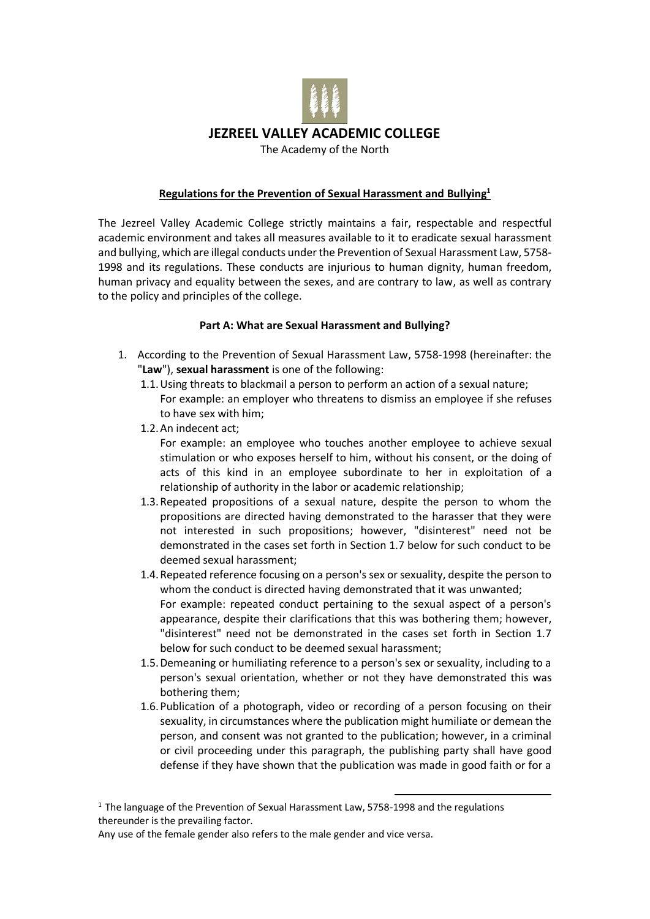

### **Regulations for the Prevention of Sexual Harassment and Bullying<sup>1</sup>**

The Jezreel Valley Academic College strictly maintains a fair, respectable and respectful academic environment and takes all measures available to it to eradicate sexual harassment and bullying, which are illegal conducts under the Prevention of Sexual Harassment Law, 5758- 1998 and its regulations. These conducts are injurious to human dignity, human freedom, human privacy and equality between the sexes, and are contrary to law, as well as contrary to the policy and principles of the college.

#### **Part A: What are Sexual Harassment and Bullying?**

- 1. According to the Prevention of Sexual Harassment Law, 5758-1998 (hereinafter: the "**Law**"), **sexual harassment** is one of the following:
	- 1.1.Using threats to blackmail a person to perform an action of a sexual nature; For example: an employer who threatens to dismiss an employee if she refuses to have sex with him;
	- 1.2.An indecent act;

For example: an employee who touches another employee to achieve sexual stimulation or who exposes herself to him, without his consent, or the doing of acts of this kind in an employee subordinate to her in exploitation of a relationship of authority in the labor or academic relationship;

- 1.3.Repeated propositions of a sexual nature, despite the person to whom the propositions are directed having demonstrated to the harasser that they were not interested in such propositions; however, "disinterest" need not be demonstrated in the cases set forth in Section 1.7 below for such conduct to be deemed sexual harassment;
- 1.4.Repeated reference focusing on a person's sex or sexuality, despite the person to whom the conduct is directed having demonstrated that it was unwanted; For example: repeated conduct pertaining to the sexual aspect of a person's appearance, despite their clarifications that this was bothering them; however, "disinterest" need not be demonstrated in the cases set forth in Section 1.7 below for such conduct to be deemed sexual harassment;
- 1.5.Demeaning or humiliating reference to a person's sex or sexuality, including to a person's sexual orientation, whether or not they have demonstrated this was bothering them;
- 1.6.Publication of a photograph, video or recording of a person focusing on their sexuality, in circumstances where the publication might humiliate or demean the person, and consent was not granted to the publication; however, in a criminal or civil proceeding under this paragraph, the publishing party shall have good defense if they have shown that the publication was made in good faith or for a

1

Any use of the female gender also refers to the male gender and vice versa.

<sup>&</sup>lt;sup>1</sup> The language of the Prevention of Sexual Harassment Law, 5758-1998 and the regulations thereunder is the prevailing factor.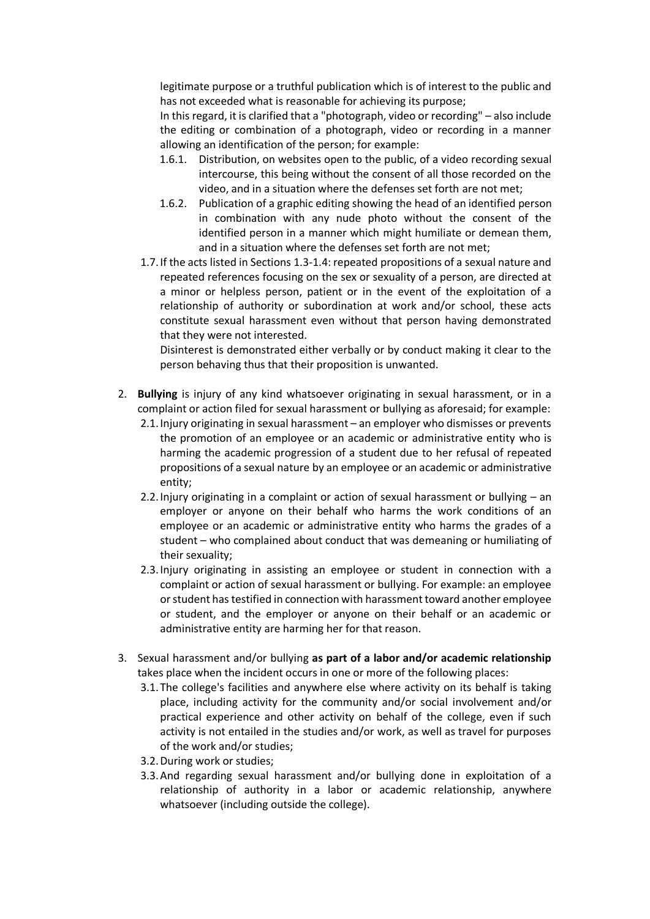legitimate purpose or a truthful publication which is of interest to the public and has not exceeded what is reasonable for achieving its purpose;

In this regard, it is clarified that a "photograph, video or recording" – also include the editing or combination of a photograph, video or recording in a manner allowing an identification of the person; for example:

- 1.6.1. Distribution, on websites open to the public, of a video recording sexual intercourse, this being without the consent of all those recorded on the video, and in a situation where the defenses set forth are not met;
- 1.6.2. Publication of a graphic editing showing the head of an identified person in combination with any nude photo without the consent of the identified person in a manner which might humiliate or demean them, and in a situation where the defenses set forth are not met;
- 1.7.If the acts listed in Sections 1.3-1.4: repeated propositions of a sexual nature and repeated references focusing on the sex or sexuality of a person, are directed at a minor or helpless person, patient or in the event of the exploitation of a relationship of authority or subordination at work and/or school, these acts constitute sexual harassment even without that person having demonstrated that they were not interested.

Disinterest is demonstrated either verbally or by conduct making it clear to the person behaving thus that their proposition is unwanted.

- 2. **Bullying** is injury of any kind whatsoever originating in sexual harassment, or in a complaint or action filed for sexual harassment or bullying as aforesaid; for example:
	- 2.1.Injury originating in sexual harassment an employer who dismisses or prevents the promotion of an employee or an academic or administrative entity who is harming the academic progression of a student due to her refusal of repeated propositions of a sexual nature by an employee or an academic or administrative entity;
	- 2.2.Injury originating in a complaint or action of sexual harassment or bullying an employer or anyone on their behalf who harms the work conditions of an employee or an academic or administrative entity who harms the grades of a student – who complained about conduct that was demeaning or humiliating of their sexuality;
	- 2.3.Injury originating in assisting an employee or student in connection with a complaint or action of sexual harassment or bullying. For example: an employee or student has testified in connection with harassment toward another employee or student, and the employer or anyone on their behalf or an academic or administrative entity are harming her for that reason.
- 3. Sexual harassment and/or bullying **as part of a labor and/or academic relationship** takes place when the incident occurs in one or more of the following places:
	- 3.1.The college's facilities and anywhere else where activity on its behalf is taking place, including activity for the community and/or social involvement and/or practical experience and other activity on behalf of the college, even if such activity is not entailed in the studies and/or work, as well as travel for purposes of the work and/or studies;
	- 3.2.During work or studies;
	- 3.3.And regarding sexual harassment and/or bullying done in exploitation of a relationship of authority in a labor or academic relationship, anywhere whatsoever (including outside the college).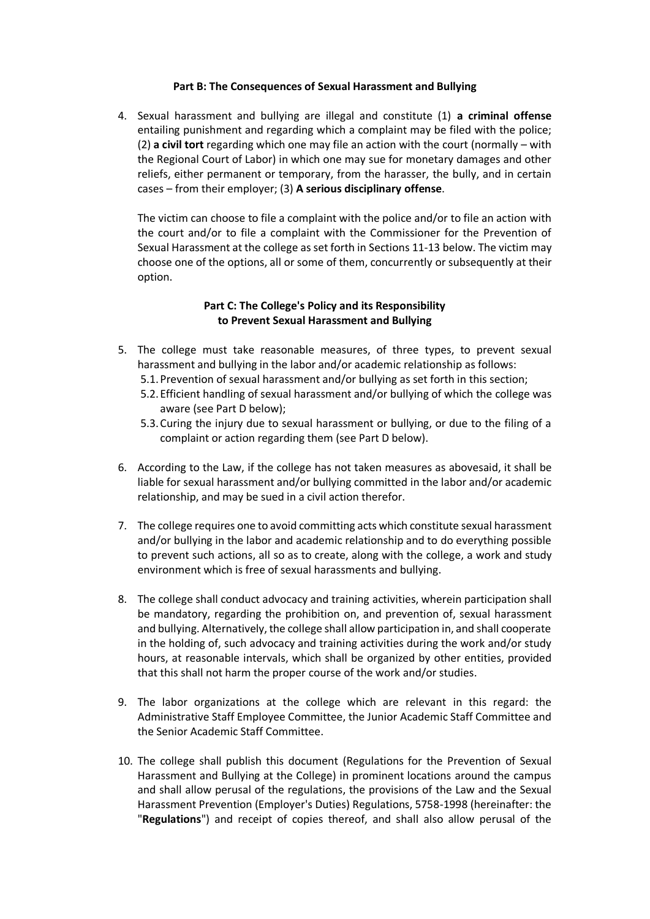### **Part B: The Consequences of Sexual Harassment and Bullying**

4. Sexual harassment and bullying are illegal and constitute (1) **a criminal offense** entailing punishment and regarding which a complaint may be filed with the police; (2) **a civil tort** regarding which one may file an action with the court (normally – with the Regional Court of Labor) in which one may sue for monetary damages and other reliefs, either permanent or temporary, from the harasser, the bully, and in certain cases – from their employer; (3) **A serious disciplinary offense**.

The victim can choose to file a complaint with the police and/or to file an action with the court and/or to file a complaint with the Commissioner for the Prevention of Sexual Harassment at the college as set forth in Sections 11-13 below. The victim may choose one of the options, all or some of them, concurrently or subsequently at their option.

### **Part C: The College's Policy and its Responsibility to Prevent Sexual Harassment and Bullying**

- 5. The college must take reasonable measures, of three types, to prevent sexual harassment and bullying in the labor and/or academic relationship as follows:
	- 5.1.Prevention of sexual harassment and/or bullying as set forth in this section;
	- 5.2.Efficient handling of sexual harassment and/or bullying of which the college was aware (see Part D below);
	- 5.3.Curing the injury due to sexual harassment or bullying, or due to the filing of a complaint or action regarding them (see Part D below).
- 6. According to the Law, if the college has not taken measures as abovesaid, it shall be liable for sexual harassment and/or bullying committed in the labor and/or academic relationship, and may be sued in a civil action therefor.
- 7. The college requires one to avoid committing acts which constitute sexual harassment and/or bullying in the labor and academic relationship and to do everything possible to prevent such actions, all so as to create, along with the college, a work and study environment which is free of sexual harassments and bullying.
- 8. The college shall conduct advocacy and training activities, wherein participation shall be mandatory, regarding the prohibition on, and prevention of, sexual harassment and bullying. Alternatively, the college shall allow participation in, and shall cooperate in the holding of, such advocacy and training activities during the work and/or study hours, at reasonable intervals, which shall be organized by other entities, provided that this shall not harm the proper course of the work and/or studies.
- 9. The labor organizations at the college which are relevant in this regard: the Administrative Staff Employee Committee, the Junior Academic Staff Committee and the Senior Academic Staff Committee.
- 10. The college shall publish this document (Regulations for the Prevention of Sexual Harassment and Bullying at the College) in prominent locations around the campus and shall allow perusal of the regulations, the provisions of the Law and the Sexual Harassment Prevention (Employer's Duties) Regulations, 5758-1998 (hereinafter: the "**Regulations**") and receipt of copies thereof, and shall also allow perusal of the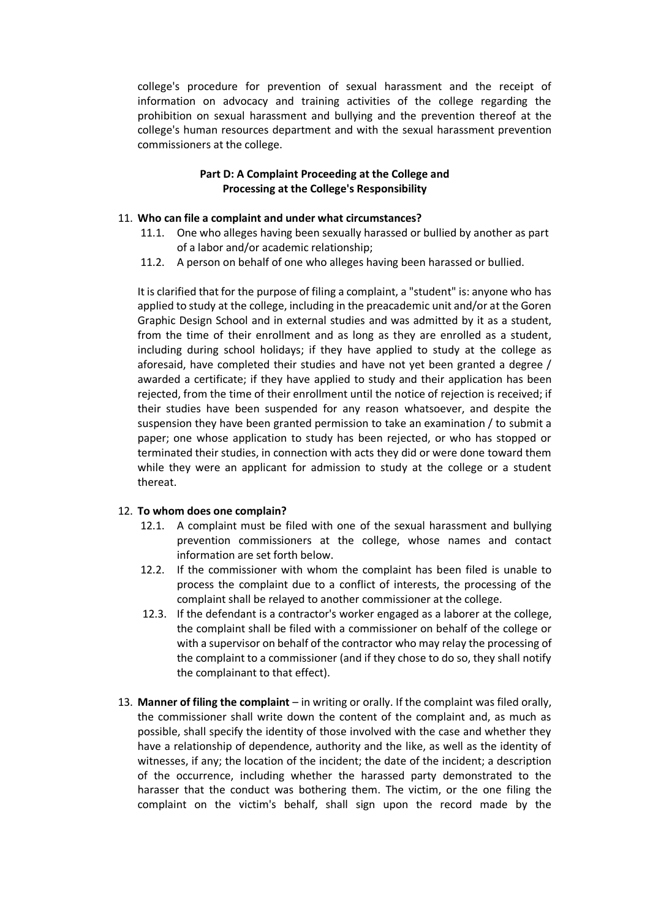college's procedure for prevention of sexual harassment and the receipt of information on advocacy and training activities of the college regarding the prohibition on sexual harassment and bullying and the prevention thereof at the college's human resources department and with the sexual harassment prevention commissioners at the college.

## **Part D: A Complaint Proceeding at the College and Processing at the College's Responsibility**

#### 11. **Who can file a complaint and under what circumstances?**

- 11.1. One who alleges having been sexually harassed or bullied by another as part of a labor and/or academic relationship;
- 11.2. A person on behalf of one who alleges having been harassed or bullied.

It is clarified that for the purpose of filing a complaint, a "student" is: anyone who has applied to study at the college, including in the preacademic unit and/or at the Goren Graphic Design School and in external studies and was admitted by it as a student, from the time of their enrollment and as long as they are enrolled as a student, including during school holidays; if they have applied to study at the college as aforesaid, have completed their studies and have not yet been granted a degree / awarded a certificate; if they have applied to study and their application has been rejected, from the time of their enrollment until the notice of rejection is received; if their studies have been suspended for any reason whatsoever, and despite the suspension they have been granted permission to take an examination / to submit a paper; one whose application to study has been rejected, or who has stopped or terminated their studies, in connection with acts they did or were done toward them while they were an applicant for admission to study at the college or a student thereat.

#### 12. **To whom does one complain?**

- 12.1. A complaint must be filed with one of the sexual harassment and bullying prevention commissioners at the college, whose names and contact information are set forth below.
- 12.2. If the commissioner with whom the complaint has been filed is unable to process the complaint due to a conflict of interests, the processing of the complaint shall be relayed to another commissioner at the college.
- 12.3. If the defendant is a contractor's worker engaged as a laborer at the college, the complaint shall be filed with a commissioner on behalf of the college or with a supervisor on behalf of the contractor who may relay the processing of the complaint to a commissioner (and if they chose to do so, they shall notify the complainant to that effect).
- 13. **Manner of filing the complaint** in writing or orally. If the complaint was filed orally, the commissioner shall write down the content of the complaint and, as much as possible, shall specify the identity of those involved with the case and whether they have a relationship of dependence, authority and the like, as well as the identity of witnesses, if any; the location of the incident; the date of the incident; a description of the occurrence, including whether the harassed party demonstrated to the harasser that the conduct was bothering them. The victim, or the one filing the complaint on the victim's behalf, shall sign upon the record made by the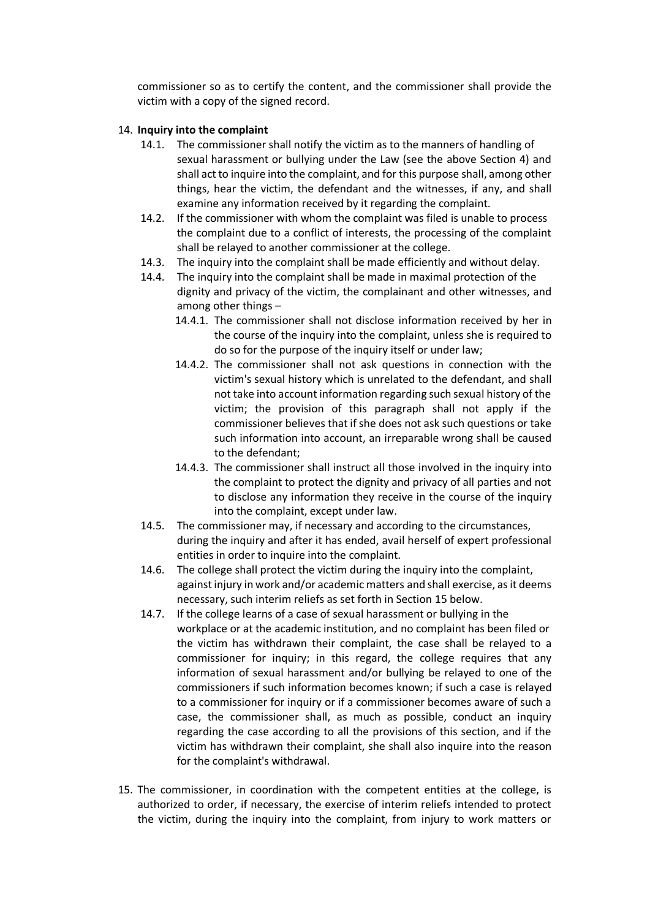commissioner so as to certify the content, and the commissioner shall provide the victim with a copy of the signed record.

### 14. **Inquiry into the complaint**

- 14.1. The commissioner shall notify the victim as to the manners of handling of sexual harassment or bullying under the Law (see the above Section 4) and shall act to inquire into the complaint, and for this purpose shall, among other things, hear the victim, the defendant and the witnesses, if any, and shall examine any information received by it regarding the complaint.
- 14.2. If the commissioner with whom the complaint was filed is unable to process the complaint due to a conflict of interests, the processing of the complaint shall be relayed to another commissioner at the college.
- 14.3. The inquiry into the complaint shall be made efficiently and without delay.
- 14.4. The inquiry into the complaint shall be made in maximal protection of the dignity and privacy of the victim, the complainant and other witnesses, and among other things –
	- 14.4.1. The commissioner shall not disclose information received by her in the course of the inquiry into the complaint, unless she is required to do so for the purpose of the inquiry itself or under law;
	- 14.4.2. The commissioner shall not ask questions in connection with the victim's sexual history which is unrelated to the defendant, and shall not take into account information regarding such sexual history of the victim; the provision of this paragraph shall not apply if the commissioner believes that if she does not ask such questions or take such information into account, an irreparable wrong shall be caused to the defendant;
	- 14.4.3. The commissioner shall instruct all those involved in the inquiry into the complaint to protect the dignity and privacy of all parties and not to disclose any information they receive in the course of the inquiry into the complaint, except under law.
- 14.5. The commissioner may, if necessary and according to the circumstances, during the inquiry and after it has ended, avail herself of expert professional entities in order to inquire into the complaint.
- 14.6. The college shall protect the victim during the inquiry into the complaint, against injury in work and/or academic matters and shall exercise, as it deems necessary, such interim reliefs as set forth in Section 15 below.
- 14.7. If the college learns of a case of sexual harassment or bullying in the workplace or at the academic institution, and no complaint has been filed or the victim has withdrawn their complaint, the case shall be relayed to a commissioner for inquiry; in this regard, the college requires that any information of sexual harassment and/or bullying be relayed to one of the commissioners if such information becomes known; if such a case is relayed to a commissioner for inquiry or if a commissioner becomes aware of such a case, the commissioner shall, as much as possible, conduct an inquiry regarding the case according to all the provisions of this section, and if the victim has withdrawn their complaint, she shall also inquire into the reason for the complaint's withdrawal.
- 15. The commissioner, in coordination with the competent entities at the college, is authorized to order, if necessary, the exercise of interim reliefs intended to protect the victim, during the inquiry into the complaint, from injury to work matters or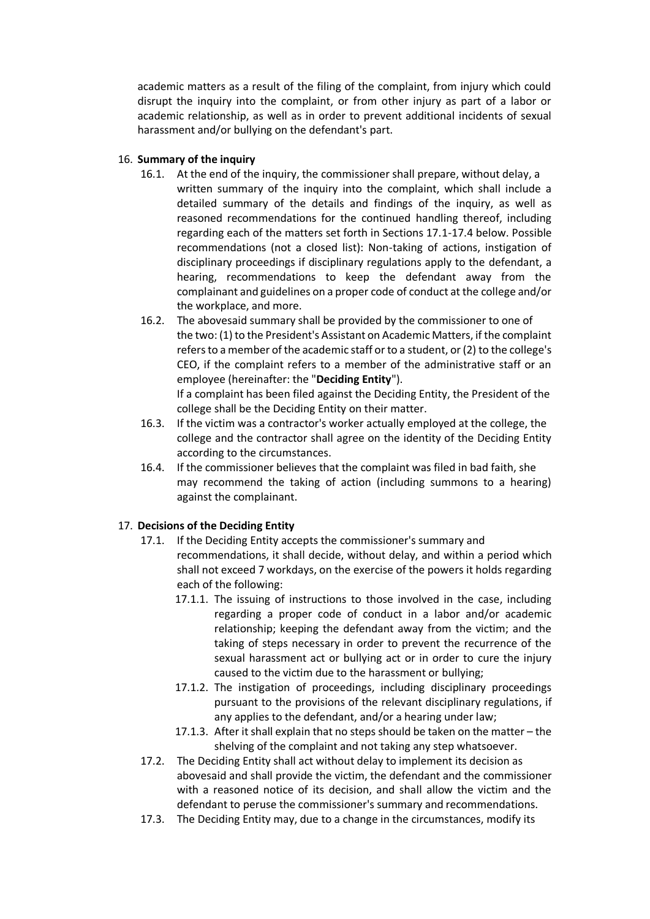academic matters as a result of the filing of the complaint, from injury which could disrupt the inquiry into the complaint, or from other injury as part of a labor or academic relationship, as well as in order to prevent additional incidents of sexual harassment and/or bullying on the defendant's part.

## 16. **Summary of the inquiry**

- 16.1. At the end of the inquiry, the commissioner shall prepare, without delay, a written summary of the inquiry into the complaint, which shall include a detailed summary of the details and findings of the inquiry, as well as reasoned recommendations for the continued handling thereof, including regarding each of the matters set forth in Sections 17.1-17.4 below. Possible recommendations (not a closed list): Non-taking of actions, instigation of disciplinary proceedings if disciplinary regulations apply to the defendant, a hearing, recommendations to keep the defendant away from the complainant and guidelines on a proper code of conduct at the college and/or the workplace, and more.
- 16.2. The abovesaid summary shall be provided by the commissioner to one of the two: (1) to the President's Assistant on Academic Matters, if the complaint refers to a member of the academic staff or to a student, or (2) to the college's CEO, if the complaint refers to a member of the administrative staff or an employee (hereinafter: the "**Deciding Entity**").

If a complaint has been filed against the Deciding Entity, the President of the college shall be the Deciding Entity on their matter.

- 16.3. If the victim was a contractor's worker actually employed at the college, the college and the contractor shall agree on the identity of the Deciding Entity according to the circumstances.
- 16.4. If the commissioner believes that the complaint was filed in bad faith, she may recommend the taking of action (including summons to a hearing) against the complainant.

# 17. **Decisions of the Deciding Entity**

- 17.1. If the Deciding Entity accepts the commissioner's summary and recommendations, it shall decide, without delay, and within a period which shall not exceed 7 workdays, on the exercise of the powers it holds regarding each of the following:
	- 17.1.1. The issuing of instructions to those involved in the case, including regarding a proper code of conduct in a labor and/or academic relationship; keeping the defendant away from the victim; and the taking of steps necessary in order to prevent the recurrence of the sexual harassment act or bullying act or in order to cure the injury caused to the victim due to the harassment or bullying;
	- 17.1.2. The instigation of proceedings, including disciplinary proceedings pursuant to the provisions of the relevant disciplinary regulations, if any applies to the defendant, and/or a hearing under law;
	- 17.1.3. After it shall explain that no steps should be taken on the matter the shelving of the complaint and not taking any step whatsoever.
- 17.2. The Deciding Entity shall act without delay to implement its decision as abovesaid and shall provide the victim, the defendant and the commissioner with a reasoned notice of its decision, and shall allow the victim and the defendant to peruse the commissioner's summary and recommendations.
- 17.3. The Deciding Entity may, due to a change in the circumstances, modify its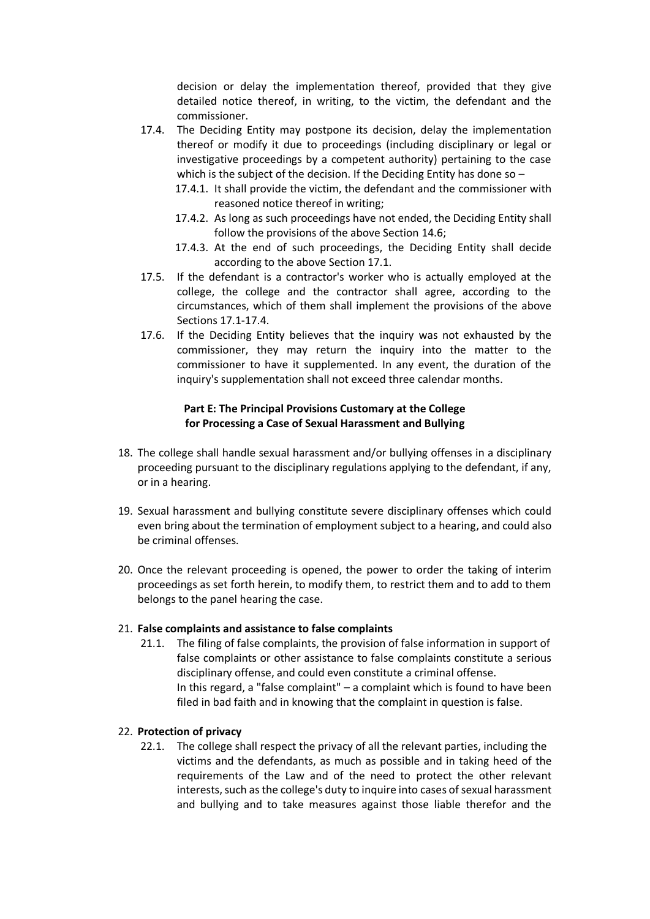decision or delay the implementation thereof, provided that they give detailed notice thereof, in writing, to the victim, the defendant and the commissioner.

- 17.4. The Deciding Entity may postpone its decision, delay the implementation thereof or modify it due to proceedings (including disciplinary or legal or investigative proceedings by a competent authority) pertaining to the case which is the subject of the decision. If the Deciding Entity has done so -
	- 17.4.1. It shall provide the victim, the defendant and the commissioner with reasoned notice thereof in writing;
	- 17.4.2. As long as such proceedings have not ended, the Deciding Entity shall follow the provisions of the above Section 14.6;
	- 17.4.3. At the end of such proceedings, the Deciding Entity shall decide according to the above Section 17.1.
- 17.5. If the defendant is a contractor's worker who is actually employed at the college, the college and the contractor shall agree, according to the circumstances, which of them shall implement the provisions of the above Sections 17.1-17.4.
- 17.6. If the Deciding Entity believes that the inquiry was not exhausted by the commissioner, they may return the inquiry into the matter to the commissioner to have it supplemented. In any event, the duration of the inquiry's supplementation shall not exceed three calendar months.

## **Part E: The Principal Provisions Customary at the College for Processing a Case of Sexual Harassment and Bullying**

- 18. The college shall handle sexual harassment and/or bullying offenses in a disciplinary proceeding pursuant to the disciplinary regulations applying to the defendant, if any, or in a hearing.
- 19. Sexual harassment and bullying constitute severe disciplinary offenses which could even bring about the termination of employment subject to a hearing, and could also be criminal offenses.
- 20. Once the relevant proceeding is opened, the power to order the taking of interim proceedings as set forth herein, to modify them, to restrict them and to add to them belongs to the panel hearing the case.

# 21. **False complaints and assistance to false complaints**

21.1. The filing of false complaints, the provision of false information in support of false complaints or other assistance to false complaints constitute a serious disciplinary offense, and could even constitute a criminal offense. In this regard, a "false complaint" – a complaint which is found to have been filed in bad faith and in knowing that the complaint in question is false.

# 22. **Protection of privacy**

22.1. The college shall respect the privacy of all the relevant parties, including the victims and the defendants, as much as possible and in taking heed of the requirements of the Law and of the need to protect the other relevant interests, such as the college's duty to inquire into cases of sexual harassment and bullying and to take measures against those liable therefor and the